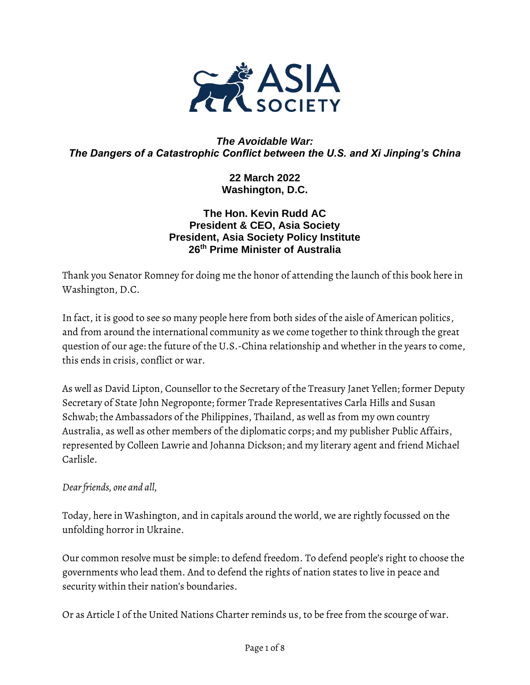

#### *The Avoidable War: The Dangers of a Catastrophic Conflict between the U.S. and Xi Jinping's China*

**22 March 2022 Washington, D.C.** 

#### **The Hon. Kevin Rudd AC President & CEO, Asia Society President, Asia Society Policy Institute 26th Prime Minister of Australia**

Thank you Senator Romney for doing me the honor of attending the launch of this book here in Washington, D.C.

In fact, it is good to see so many people here from both sides of the aisle of American politics, and from around the international community as we come together to think through the great question of our age: the future of the U.S.-China relationship and whether in the years to come, this ends in crisis, conflict or war.

As well as David Lipton, Counsellor to the Secretary of the Treasury Janet Yellen; former Deputy Secretary of State John Negroponte; former Trade Representatives Carla Hills and Susan Schwab; the Ambassadors of the Philippines, Thailand, as well as from my own country Australia, as well as other members of the diplomatic corps; and my publisher Public Affairs, represented by Colleen Lawrie and Johanna Dickson; and my literary agent and friend Michael Carlisle.

#### *Dear friends, one and all,*

Today, here in Washington, and in capitals around the world, we are rightly focussed on the unfolding horror in Ukraine.

Our common resolve must be simple: to defend freedom. To defend people's right to choose the governments who lead them. And to defend the rights of nation states to live in peace and security within their nation's boundaries.

Or as Article I of the United Nations Charter reminds us, to be free from the scourge of war.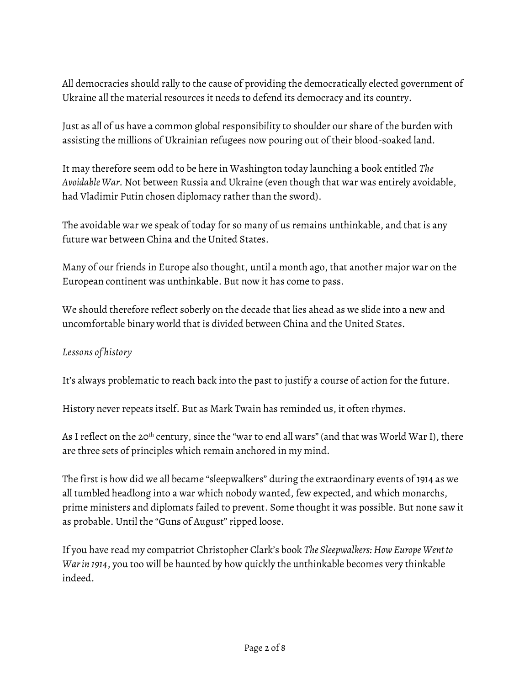All democracies should rally to the cause of providing the democratically elected government of Ukraine all the material resources it needs to defend its democracy and its country.

Just as all of us have a common global responsibility to shoulder our share of the burden with assisting the millions of Ukrainian refugees now pouring out of their blood-soaked land.

It may therefore seem odd to be here in Washington today launching a book entitled *The Avoidable War*. Not between Russia and Ukraine (even though that war was entirely avoidable, had Vladimir Putin chosen diplomacy rather than the sword).

The avoidable war we speak of today for so many of us remains unthinkable, and that is any future war between China and the United States.

Many of our friends in Europe also thought, until a month ago, that another major war on the European continent was unthinkable. But now it has come to pass.

We should therefore reflect soberly on the decade that lies ahead as we slide into a new and uncomfortable binary world that is divided between China and the United States.

#### *Lessons of history*

It's always problematic to reach back into the past to justify a course of action for the future.

History never repeats itself. But as Mark Twain has reminded us, it often rhymes.

As I reflect on the 20<sup>th</sup> century, since the "war to end all wars" (and that was World War I), there are three sets of principles which remain anchored in my mind.

The first is how did we all became "sleepwalkers" during the extraordinary events of 1914 as we all tumbled headlong into a war which nobody wanted, few expected, and which monarchs, prime ministers and diplomats failed to prevent. Some thought it was possible. But none saw it as probable. Until the "Guns of August" ripped loose.

If you have read my compatriot Christopher Clark's book *The Sleepwalkers: How Europe Went to War in 1914*, you too will be haunted by how quickly the unthinkable becomes very thinkable indeed.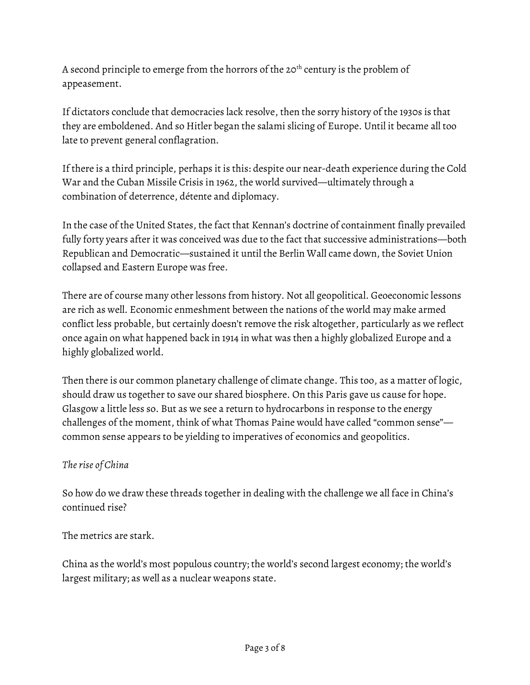A second principle to emerge from the horrors of the 20<sup>th</sup> century is the problem of appeasement.

If dictators conclude that democracies lack resolve, then the sorry history of the 1930s is that they are emboldened. And so Hitler began the salami slicing of Europe. Until it became all too late to prevent general conflagration.

If there is a third principle, perhaps it is this: despite our near-death experience during the Cold War and the Cuban Missile Crisis in 1962, the world survived—ultimately through a combination of deterrence, détente and diplomacy.

In the case of the United States, the fact that Kennan's doctrine of containment finally prevailed fully forty years after it was conceived was due to the fact that successive administrations—both Republican and Democratic—sustained it until the Berlin Wall came down, the Soviet Union collapsed and Eastern Europe was free.

There are of course many other lessons from history. Not all geopolitical. Geoeconomic lessons are rich as well. Economic enmeshment between the nations of the world may make armed conflict less probable, but certainly doesn't remove the risk altogether, particularly as we reflect once again on what happened back in 1914 in what was then a highly globalized Europe and a highly globalized world.

Then there is our common planetary challenge of climate change. This too, as a matter of logic, should draw us together to save our shared biosphere. On this Paris gave us cause for hope. Glasgow a little less so. But as we see a return to hydrocarbons in response to the energy challenges of the moment, think of what Thomas Paine would have called "common sense" common sense appears to be yielding to imperatives of economics and geopolitics.

# *The rise of China*

So how do we draw these threads together in dealing with the challenge we all face in China's continued rise?

The metrics are stark.

China as the world's most populous country; the world's second largest economy; the world's largest military; as well as a nuclear weapons state.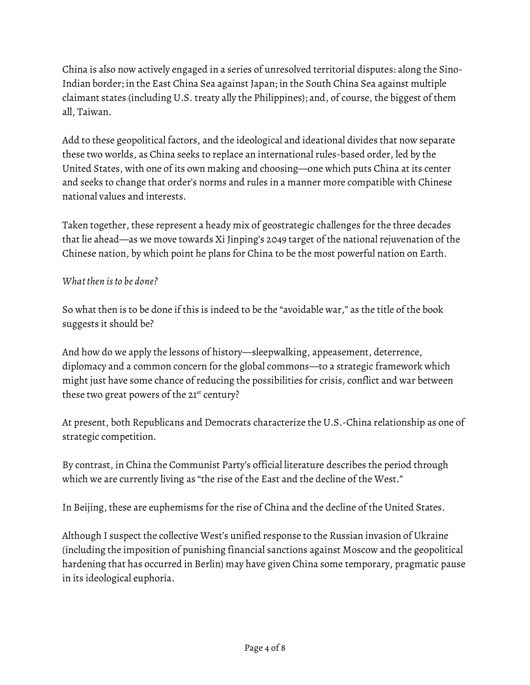China is also now actively engaged in a series of unresolved territorial disputes: along the Sino-Indian border; in the East China Sea against Japan; in the South China Sea against multiple claimant states (including U.S. treaty ally the Philippines); and, of course, the biggest of them all, Taiwan.

Add to these geopolitical factors, and the ideological and ideational divides that now separate these two worlds, as China seeks to replace an international rules-based order, led by the United States, with one of its own making and choosing—one which puts China at its center and seeks to change that order's norms and rules in a manner more compatible with Chinese national values and interests.

Taken together, these represent a heady mix of geostrategic challenges for the three decades that lie ahead—as we move towards Xi Jinping's 2049 target of the national rejuvenation of the Chinese nation, by which point he plans for China to be the most powerful nation on Earth.

### *What then is to be done?*

So what then is to be done if this is indeed to be the "avoidable war," as the title of the book suggests it should be?

And how do we apply the lessons of history—sleepwalking, appeasement, deterrence, diplomacy and a common concern for the global commons—to a strategic framework which might just have some chance of reducing the possibilities for crisis, conflict and war between these two great powers of the 21<sup>st</sup> century?

At present, both Republicans and Democrats characterize the U.S.-China relationship as one of strategic competition.

By contrast, in China the Communist Party's official literature describes the period through which we are currently living as "the rise of the East and the decline of the West."

In Beijing, these are euphemisms for the rise of China and the decline of the United States.

Although I suspect the collective West's unified response to the Russian invasion of Ukraine (including the imposition of punishing financial sanctions against Moscow and the geopolitical hardening that has occurred in Berlin) may have given China some temporary, pragmatic pause in its ideological euphoria.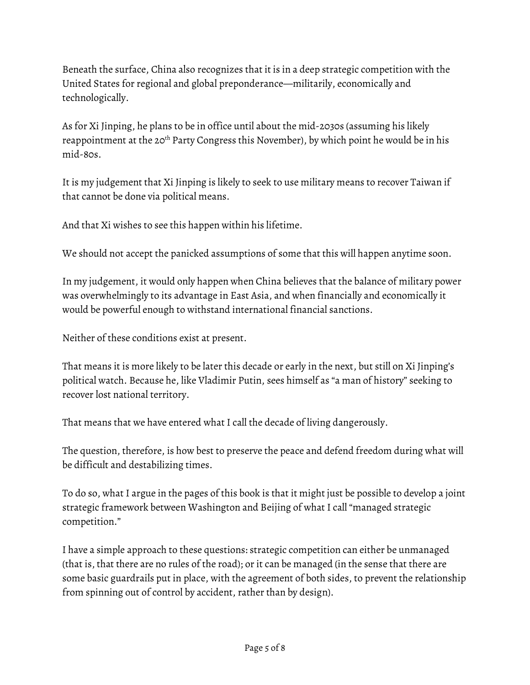Beneath the surface, China also recognizes that it is in a deep strategic competition with the United States for regional and global preponderance—militarily, economically and technologically.

As for Xi Jinping, he plans to be in office until about the mid-2030s (assuming his likely reappointment at the 20<sup>th</sup> Party Congress this November), by which point he would be in his mid-80s.

It is my judgement that Xi Jinping is likely to seek to use military means to recover Taiwan if that cannot be done via political means.

And that Xi wishes to see this happen within his lifetime.

We should not accept the panicked assumptions of some that this will happen anytime soon.

In my judgement, it would only happen when China believes that the balance of military power was overwhelmingly to its advantage in East Asia, and when financially and economically it would be powerful enough to withstand international financial sanctions.

Neither of these conditions exist at present.

That means it is more likely to be later this decade or early in the next, but still on Xi Jinping's political watch. Because he, like Vladimir Putin, sees himself as "a man of history" seeking to recover lost national territory.

That means that we have entered what I call the decade of living dangerously.

The question, therefore, is how best to preserve the peace and defend freedom during what will be difficult and destabilizing times.

To do so, what I argue in the pages of this book is that it might just be possible to develop a joint strategic framework between Washington and Beijing of what I call "managed strategic competition."

I have a simple approach to these questions: strategic competition can either be unmanaged (that is, that there are no rules of the road); or it can be managed (in the sense that there are some basic guardrails put in place, with the agreement of both sides, to prevent the relationship from spinning out of control by accident, rather than by design).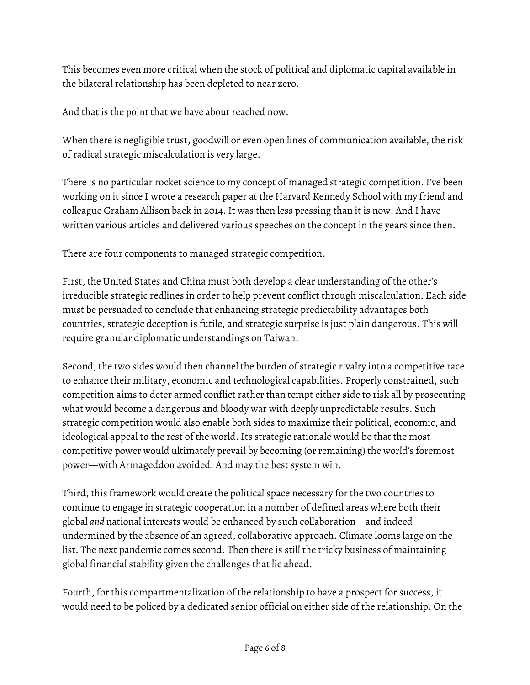This becomes even more critical when the stock of political and diplomatic capital available in the bilateral relationship has been depleted to near zero.

And that is the point that we have about reached now.

When there is negligible trust, goodwill or even open lines of communication available, the risk of radical strategic miscalculation is very large.

There is no particular rocket science to my concept of managed strategic competition. I've been working on it since I wrote a research paper at the Harvard Kennedy School with my friend and colleague Graham Allison back in 2014. It was then less pressing than it is now. And I have written various articles and delivered various speeches on the concept in the years since then.

There are four components to managed strategic competition.

First, the United States and China must both develop a clear understanding of the other's irreducible strategic redlines in order to help prevent conflict through miscalculation. Each side must be persuaded to conclude that enhancing strategic predictability advantages both countries, strategic deception is futile, and strategic surprise is just plain dangerous. This will require granular diplomatic understandings on Taiwan.

Second, the two sides would then channel the burden of strategic rivalry into a competitive race to enhance their military, economic and technological capabilities. Properly constrained, such competition aims to deter armed conflict rather than tempt either side to risk all by prosecuting what would become a dangerous and bloody war with deeply unpredictable results. Such strategic competition would also enable both sides to maximize their political, economic, and ideological appeal to the rest of the world. Its strategic rationale would be that the most competitive power would ultimately prevail by becoming (or remaining) the world's foremost power—with Armageddon avoided. And may the best system win.

Third, this framework would create the political space necessary for the two countries to continue to engage in strategic cooperation in a number of defined areas where both their global *and* national interests would be enhanced by such collaboration—and indeed undermined by the absence of an agreed, collaborative approach. Climate looms large on the list. The next pandemic comes second. Then there is still the tricky business of maintaining global financial stability given the challenges that lie ahead.

Fourth, for this compartmentalization of the relationship to have a prospect for success, it would need to be policed by a dedicated senior official on either side of the relationship. On the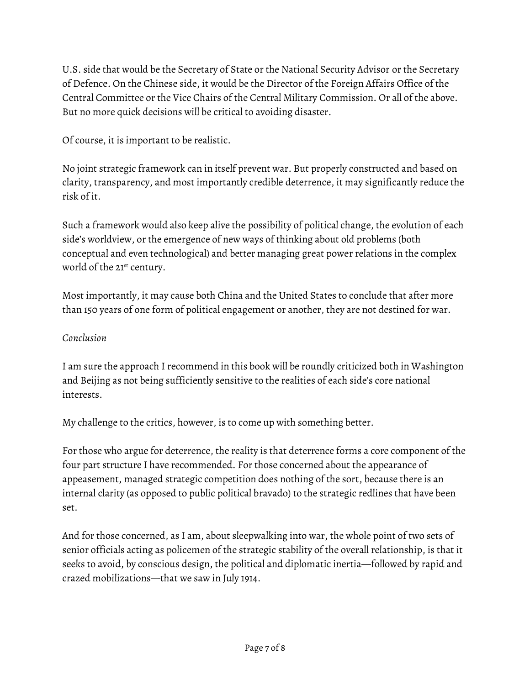U.S. side that would be the Secretary of State or the National Security Advisor or the Secretary of Defence. On the Chinese side, it would be the Director of the Foreign Affairs Office of the Central Committee or the Vice Chairs of the Central Military Commission. Or all of the above. But no more quick decisions will be critical to avoiding disaster.

Of course, it is important to be realistic.

No joint strategic framework can in itself prevent war. But properly constructed and based on clarity, transparency, and most importantly credible deterrence, it may significantly reduce the risk of it.

Such a framework would also keep alive the possibility of political change, the evolution of each side's worldview, or the emergence of new ways of thinking about old problems (both conceptual and even technological) and better managing great power relations in the complex world of the 21<sup>st</sup> century.

Most importantly, it may cause both China and the United States to conclude that after more than 150 years of one form of political engagement or another, they are not destined for war.

## *Conclusion*

I am sure the approach I recommend in this book will be roundly criticized both in Washington and Beijing as not being sufficiently sensitive to the realities of each side's core national interests.

My challenge to the critics, however, is to come up with something better.

For those who argue for deterrence, the reality is that deterrence forms a core component of the four part structure I have recommended. For those concerned about the appearance of appeasement, managed strategic competition does nothing of the sort, because there is an internal clarity (as opposed to public political bravado) to the strategic redlines that have been set.

And for those concerned, as I am, about sleepwalking into war, the whole point of two sets of senior officials acting as policemen of the strategic stability of the overall relationship, is that it seeks to avoid, by conscious design, the political and diplomatic inertia—followed by rapid and crazed mobilizations—that we saw in July 1914.